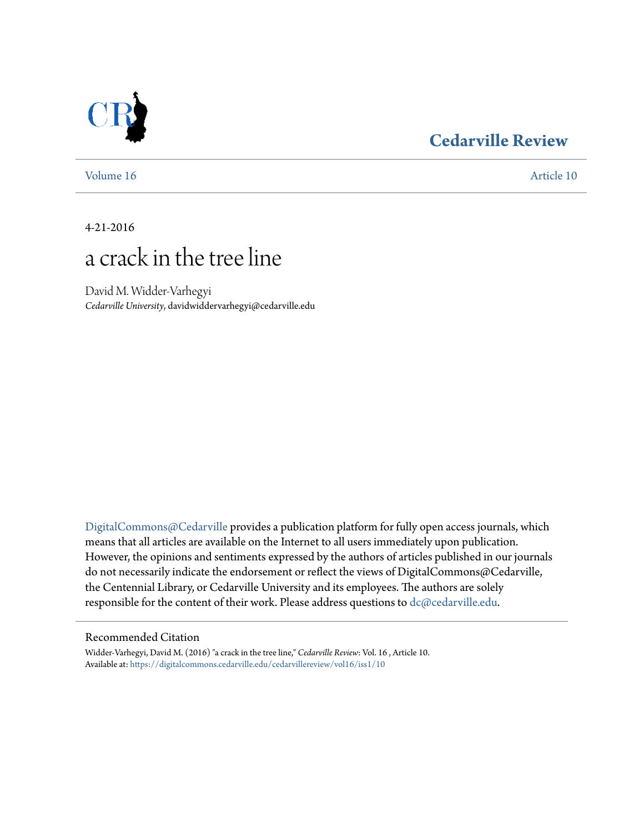### **[Cedarville Review](https://digitalcommons.cedarville.edu/cedarvillereview?utm_source=digitalcommons.cedarville.edu%2Fcedarvillereview%2Fvol16%2Fiss1%2F10&utm_medium=PDF&utm_campaign=PDFCoverPages)**



[Volume 16](https://digitalcommons.cedarville.edu/cedarvillereview/vol16?utm_source=digitalcommons.cedarville.edu%2Fcedarvillereview%2Fvol16%2Fiss1%2F10&utm_medium=PDF&utm_campaign=PDFCoverPages) [Article 10](https://digitalcommons.cedarville.edu/cedarvillereview/vol16/iss1/10?utm_source=digitalcommons.cedarville.edu%2Fcedarvillereview%2Fvol16%2Fiss1%2F10&utm_medium=PDF&utm_campaign=PDFCoverPages)

4-21-2016

## a crack in the tree line

David M. Widder-Varhegyi *Cedarville University*, davidwiddervarhegyi@cedarville.edu

[DigitalCommons@Cedarville](http://digitalcommons.cedarville.edu) provides a publication platform for fully open access journals, which means that all articles are available on the Internet to all users immediately upon publication. However, the opinions and sentiments expressed by the authors of articles published in our journals do not necessarily indicate the endorsement or reflect the views of DigitalCommons@Cedarville, the Centennial Library, or Cedarville University and its employees. The authors are solely responsible for the content of their work. Please address questions to [dc@cedarville.edu](mailto:dc@cedarville.edu).

#### Recommended Citation

Widder-Varhegyi, David M. (2016) "a crack in the tree line," *Cedarville Review*: Vol. 16 , Article 10. Available at: [https://digitalcommons.cedarville.edu/cedarvillereview/vol16/iss1/10](https://digitalcommons.cedarville.edu/cedarvillereview/vol16/iss1/10?utm_source=digitalcommons.cedarville.edu%2Fcedarvillereview%2Fvol16%2Fiss1%2F10&utm_medium=PDF&utm_campaign=PDFCoverPages)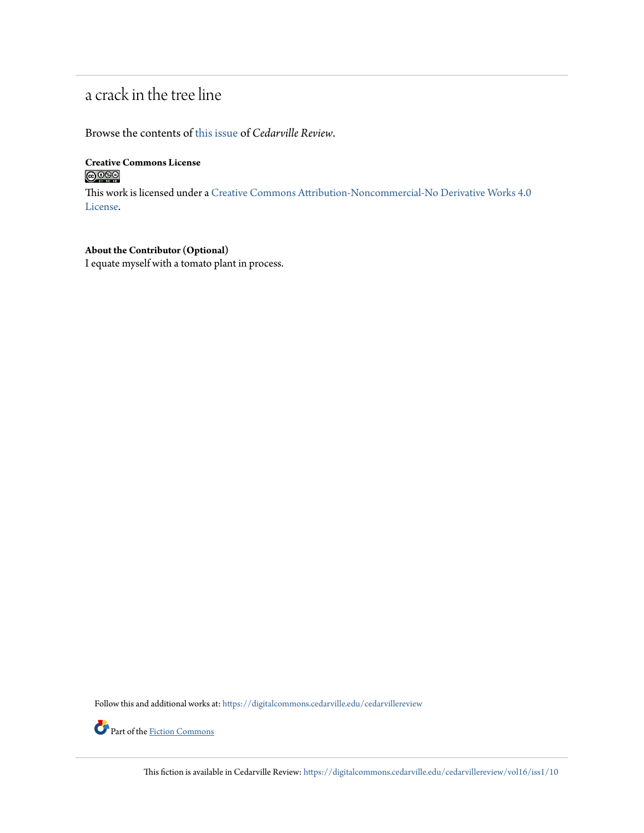## a crack in the tree line

Browse the contents of [this issue](https://digitalcommons.cedarville.edu/cedarvillereview/vol16/iss1) of *Cedarville Review*.

**Creative Commons License**  $\bigcirc$   $\circ$ 

This work is licensed under a [Creative Commons Attribution-Noncommercial-No Derivative Works 4.0](http://creativecommons.org/licenses/by-nc-nd/4.0/) [License.](http://creativecommons.org/licenses/by-nc-nd/4.0/)

**About the Contributor (Optional)** I equate myself with a tomato plant in process.

Follow this and additional works at: [https://digitalcommons.cedarville.edu/cedarvillereview](https://digitalcommons.cedarville.edu/cedarvillereview?utm_source=digitalcommons.cedarville.edu%2Fcedarvillereview%2Fvol16%2Fiss1%2F10&utm_medium=PDF&utm_campaign=PDFCoverPages)



This fiction is available in Cedarville Review: [https://digitalcommons.cedarville.edu/cedarvillereview/vol16/iss1/10](https://digitalcommons.cedarville.edu/cedarvillereview/vol16/iss1/10?utm_source=digitalcommons.cedarville.edu%2Fcedarvillereview%2Fvol16%2Fiss1%2F10&utm_medium=PDF&utm_campaign=PDFCoverPages)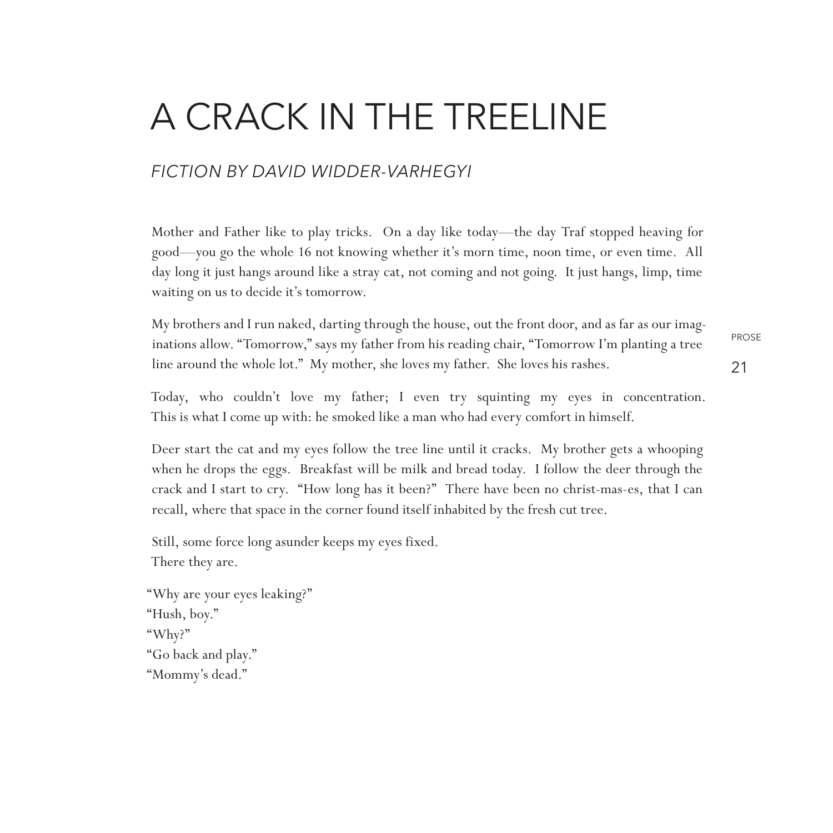# a crack in the treeline

### *fiction By David Widder-Varhegyi*

Mother and Father like to play tricks. On a day like today—the day Traf stopped heaving for good—you go the whole 16 not knowing whether it's morn time, noon time, or even time. All day long it just hangs around like a stray cat, not coming and not going. It just hangs, limp, time waiting on us to decide it's tomorrow.

PROSE 21 My brothers and I run naked, darting through the house, out the front door, and as far as our imaginations allow. "Tomorrow," says my father from his reading chair, "Tomorrow I'm planting a tree line around the whole lot." My mother, she loves my father. She loves his rashes.

Today, who couldn't love my father; I even try squinting my eyes in concentration. This is what I come up with: he smoked like a man who had every comfort in himself.

Deer start the cat and my eyes follow the tree line until it cracks. My brother gets a whooping when he drops the eggs. Breakfast will be milk and bread today. I follow the deer through the crack and I start to cry. "How long has it been?" There have been no christ-mas-es, that I can recall, where that space in the corner found itself inhabited by the fresh cut tree.

Still, some force long asunder keeps my eyes fixed. There they are.

"Why are your eyes leaking?" "Hush, boy." "Why?" "Go back and play." "Mommy's dead."